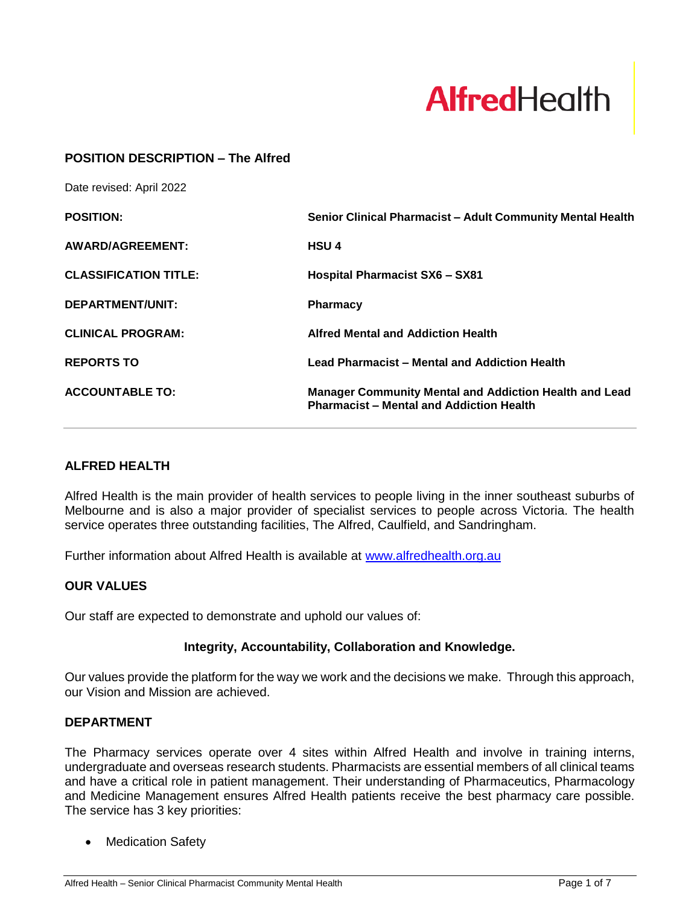

#### **POSITION DESCRIPTION – The Alfred**

Date revised: April 2022

| <b>POSITION:</b>             | Senior Clinical Pharmacist - Adult Community Mental Health                                                       |
|------------------------------|------------------------------------------------------------------------------------------------------------------|
| <b>AWARD/AGREEMENT:</b>      | <b>HSU4</b>                                                                                                      |
| <b>CLASSIFICATION TITLE:</b> | <b>Hospital Pharmacist SX6 - SX81</b>                                                                            |
| DEPARTMENT/UNIT:             | <b>Pharmacy</b>                                                                                                  |
| <b>CLINICAL PROGRAM:</b>     | <b>Alfred Mental and Addiction Health</b>                                                                        |
| <b>REPORTS TO</b>            | <b>Lead Pharmacist - Mental and Addiction Health</b>                                                             |
| <b>ACCOUNTABLE TO:</b>       | <b>Manager Community Mental and Addiction Health and Lead</b><br><b>Pharmacist - Mental and Addiction Health</b> |

#### **ALFRED HEALTH**

Alfred Health is the main provider of health services to people living in the inner southeast suburbs of Melbourne and is also a major provider of specialist services to people across Victoria. The health service operates three outstanding facilities, The Alfred, Caulfield, and Sandringham.

Further information about Alfred Health is available at [www.alfredhealth.org.au](http://www.alfred.org.au/)

#### **OUR VALUES**

Our staff are expected to demonstrate and uphold our values of:

#### **Integrity, Accountability, Collaboration and Knowledge.**

Our values provide the platform for the way we work and the decisions we make. Through this approach, our Vision and Mission are achieved.

#### **DEPARTMENT**

The Pharmacy services operate over 4 sites within Alfred Health and involve in training interns, undergraduate and overseas research students. Pharmacists are essential members of all clinical teams and have a critical role in patient management. Their understanding of Pharmaceutics, Pharmacology and Medicine Management ensures Alfred Health patients receive the best pharmacy care possible. The service has 3 key priorities:

**Medication Safety**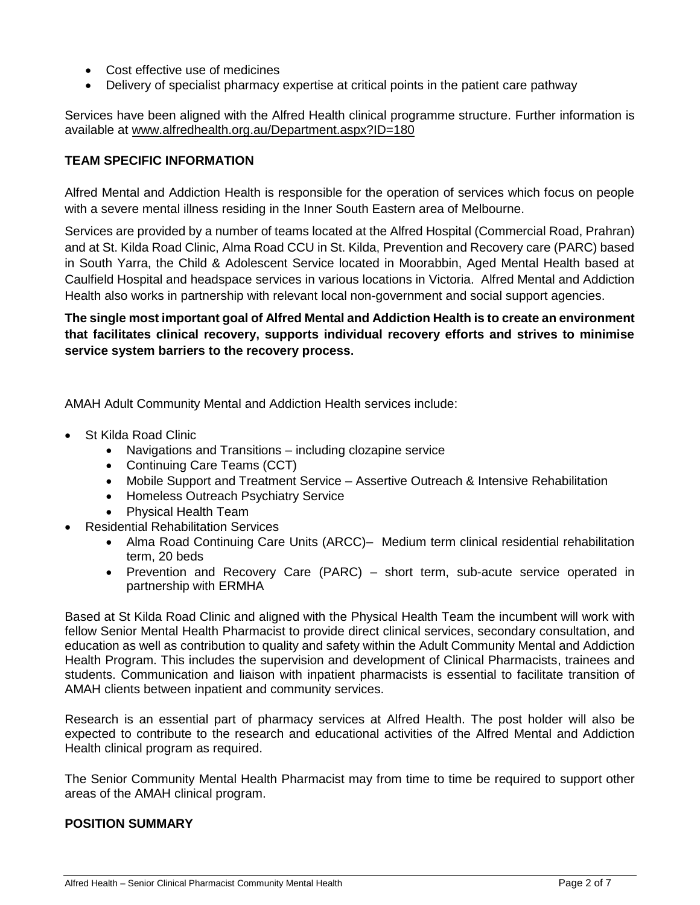- Cost effective use of medicines
- Delivery of specialist pharmacy expertise at critical points in the patient care pathway

Services have been aligned with the Alfred Health clinical programme structure. Further information is available at [www.alfredhealth.org.au/Department.aspx?ID=180](http://www.alfredhealth.org.au/Department.aspx?ID=180)

## **TEAM SPECIFIC INFORMATION**

Alfred Mental and Addiction Health is responsible for the operation of services which focus on people with a severe mental illness residing in the Inner South Eastern area of Melbourne.

Services are provided by a number of teams located at the Alfred Hospital (Commercial Road, Prahran) and at St. Kilda Road Clinic, Alma Road CCU in St. Kilda, Prevention and Recovery care (PARC) based in South Yarra, the Child & Adolescent Service located in Moorabbin, Aged Mental Health based at Caulfield Hospital and headspace services in various locations in Victoria. Alfred Mental and Addiction Health also works in partnership with relevant local non-government and social support agencies.

**The single most important goal of Alfred Mental and Addiction Health is to create an environment that facilitates clinical recovery, supports individual recovery efforts and strives to minimise service system barriers to the recovery process.**

AMAH Adult Community Mental and Addiction Health services include:

- St Kilda Road Clinic
	- Navigations and Transitions including clozapine service
	- Continuing Care Teams (CCT)
	- Mobile Support and Treatment Service Assertive Outreach & Intensive Rehabilitation
	- Homeless Outreach Psychiatry Service
	- Physical Health Team
- Residential Rehabilitation Services
	- Alma Road Continuing Care Units (ARCC)– Medium term clinical residential rehabilitation term, 20 beds
	- Prevention and Recovery Care (PARC) short term, sub-acute service operated in partnership with ERMHA

Based at St Kilda Road Clinic and aligned with the Physical Health Team the incumbent will work with fellow Senior Mental Health Pharmacist to provide direct clinical services, secondary consultation, and education as well as contribution to quality and safety within the Adult Community Mental and Addiction Health Program. This includes the supervision and development of Clinical Pharmacists, trainees and students. Communication and liaison with inpatient pharmacists is essential to facilitate transition of AMAH clients between inpatient and community services.

Research is an essential part of pharmacy services at Alfred Health. The post holder will also be expected to contribute to the research and educational activities of the Alfred Mental and Addiction Health clinical program as required.

The Senior Community Mental Health Pharmacist may from time to time be required to support other areas of the AMAH clinical program.

#### **POSITION SUMMARY**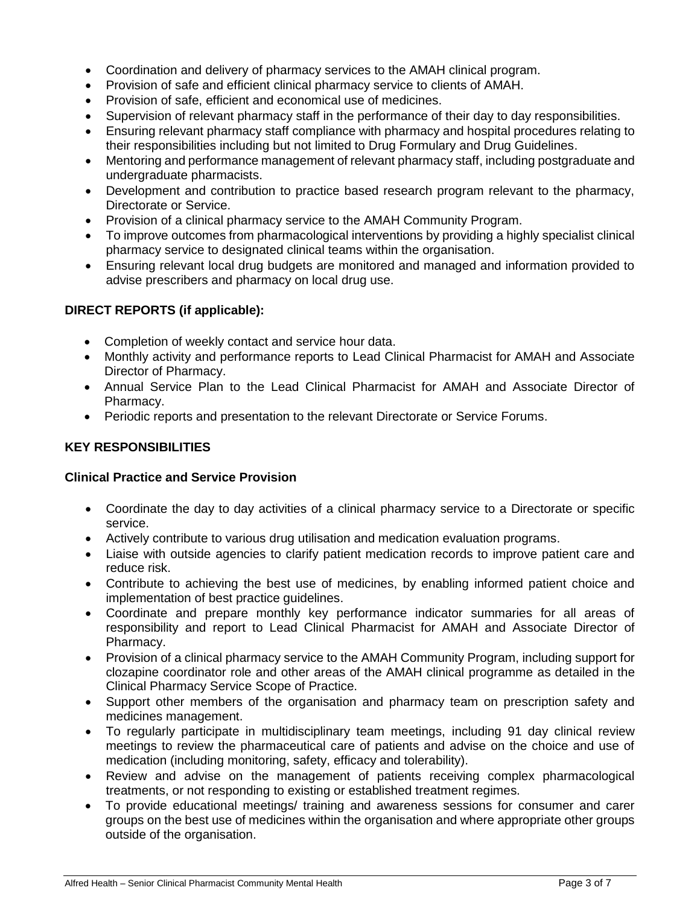- Coordination and delivery of pharmacy services to the AMAH clinical program.
- Provision of safe and efficient clinical pharmacy service to clients of AMAH.
- Provision of safe, efficient and economical use of medicines.
- Supervision of relevant pharmacy staff in the performance of their day to day responsibilities.
- Ensuring relevant pharmacy staff compliance with pharmacy and hospital procedures relating to their responsibilities including but not limited to Drug Formulary and Drug Guidelines.
- Mentoring and performance management of relevant pharmacy staff, including postgraduate and undergraduate pharmacists.
- Development and contribution to practice based research program relevant to the pharmacy, Directorate or Service.
- Provision of a clinical pharmacy service to the AMAH Community Program.
- To improve outcomes from pharmacological interventions by providing a highly specialist clinical pharmacy service to designated clinical teams within the organisation.
- Ensuring relevant local drug budgets are monitored and managed and information provided to advise prescribers and pharmacy on local drug use.

## **DIRECT REPORTS (if applicable):**

- Completion of weekly contact and service hour data.
- Monthly activity and performance reports to Lead Clinical Pharmacist for AMAH and Associate Director of Pharmacy.
- Annual Service Plan to the Lead Clinical Pharmacist for AMAH and Associate Director of Pharmacy.
- Periodic reports and presentation to the relevant Directorate or Service Forums.

# **KEY RESPONSIBILITIES**

## **Clinical Practice and Service Provision**

- Coordinate the day to day activities of a clinical pharmacy service to a Directorate or specific service.
- Actively contribute to various drug utilisation and medication evaluation programs.
- Liaise with outside agencies to clarify patient medication records to improve patient care and reduce risk.
- Contribute to achieving the best use of medicines, by enabling informed patient choice and implementation of best practice guidelines.
- Coordinate and prepare monthly key performance indicator summaries for all areas of responsibility and report to Lead Clinical Pharmacist for AMAH and Associate Director of Pharmacy.
- Provision of a clinical pharmacy service to the AMAH Community Program, including support for clozapine coordinator role and other areas of the AMAH clinical programme as detailed in the Clinical Pharmacy Service Scope of Practice.
- Support other members of the organisation and pharmacy team on prescription safety and medicines management.
- To regularly participate in multidisciplinary team meetings, including 91 day clinical review meetings to review the pharmaceutical care of patients and advise on the choice and use of medication (including monitoring, safety, efficacy and tolerability).
- Review and advise on the management of patients receiving complex pharmacological treatments, or not responding to existing or established treatment regimes.
- To provide educational meetings/ training and awareness sessions for consumer and carer groups on the best use of medicines within the organisation and where appropriate other groups outside of the organisation.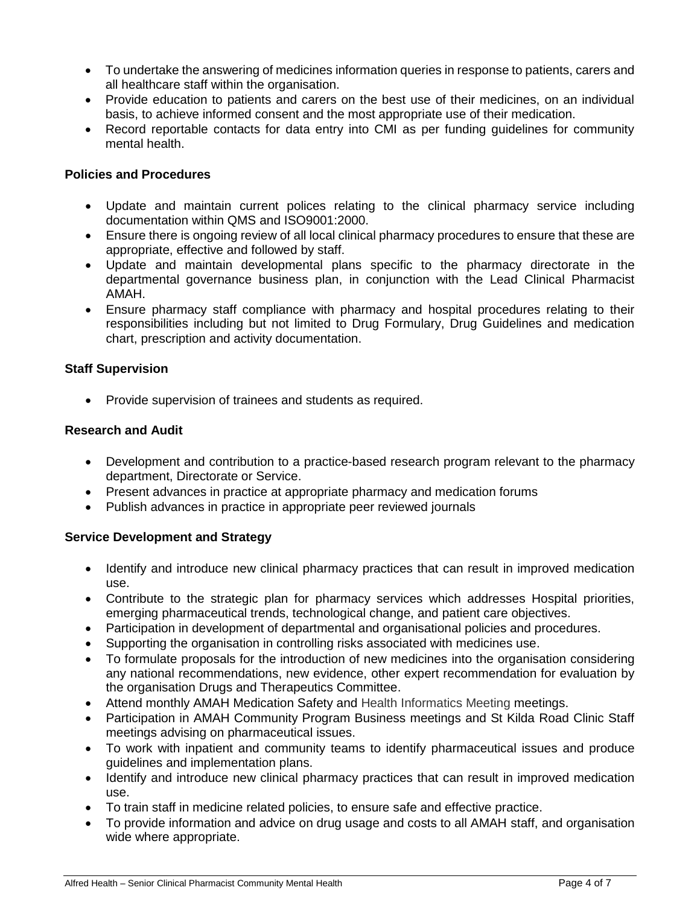- To undertake the answering of medicines information queries in response to patients, carers and all healthcare staff within the organisation.
- Provide education to patients and carers on the best use of their medicines, on an individual basis, to achieve informed consent and the most appropriate use of their medication.
- Record reportable contacts for data entry into CMI as per funding quidelines for community mental health.

## **Policies and Procedures**

- Update and maintain current polices relating to the clinical pharmacy service including documentation within QMS and ISO9001:2000.
- Ensure there is ongoing review of all local clinical pharmacy procedures to ensure that these are appropriate, effective and followed by staff.
- Update and maintain developmental plans specific to the pharmacy directorate in the departmental governance business plan, in conjunction with the Lead Clinical Pharmacist AMAH.
- Ensure pharmacy staff compliance with pharmacy and hospital procedures relating to their responsibilities including but not limited to Drug Formulary, Drug Guidelines and medication chart, prescription and activity documentation.

## **Staff Supervision**

• Provide supervision of trainees and students as required.

## **Research and Audit**

- Development and contribution to a practice-based research program relevant to the pharmacy department, Directorate or Service.
- Present advances in practice at appropriate pharmacy and medication forums
- Publish advances in practice in appropriate peer reviewed journals

## **Service Development and Strategy**

- Identify and introduce new clinical pharmacy practices that can result in improved medication use.
- Contribute to the strategic plan for pharmacy services which addresses Hospital priorities, emerging pharmaceutical trends, technological change, and patient care objectives.
- Participation in development of departmental and organisational policies and procedures.
- Supporting the organisation in controlling risks associated with medicines use.
- To formulate proposals for the introduction of new medicines into the organisation considering any national recommendations, new evidence, other expert recommendation for evaluation by the organisation Drugs and Therapeutics Committee.
- Attend monthly AMAH Medication Safety and Health Informatics Meeting meetings.
- Participation in AMAH Community Program Business meetings and St Kilda Road Clinic Staff meetings advising on pharmaceutical issues.
- To work with inpatient and community teams to identify pharmaceutical issues and produce guidelines and implementation plans.
- Identify and introduce new clinical pharmacy practices that can result in improved medication use.
- To train staff in medicine related policies, to ensure safe and effective practice.
- To provide information and advice on drug usage and costs to all AMAH staff, and organisation wide where appropriate.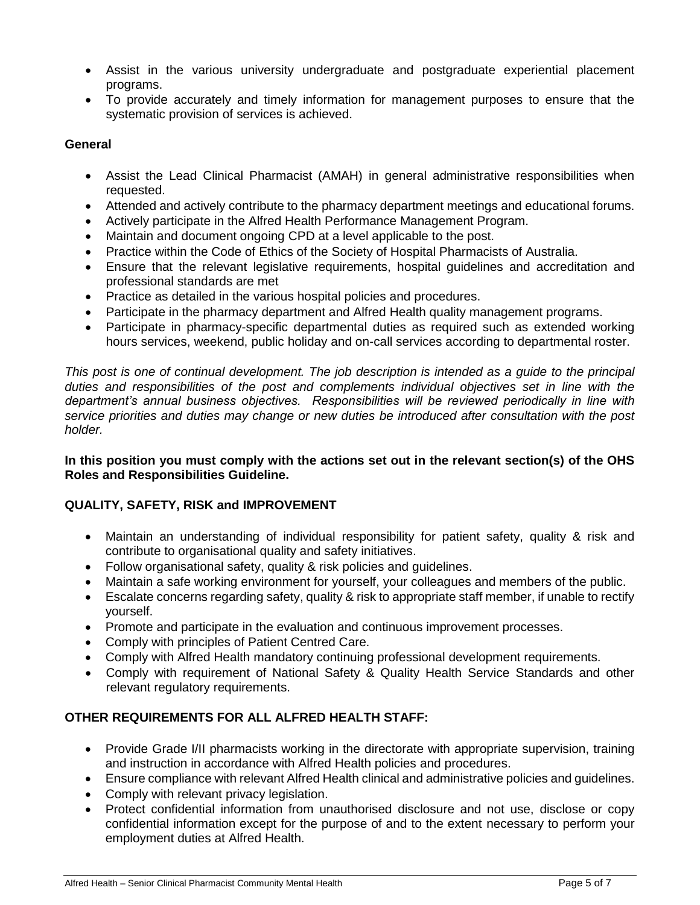- Assist in the various university undergraduate and postgraduate experiential placement programs.
- To provide accurately and timely information for management purposes to ensure that the systematic provision of services is achieved.

## **General**

- Assist the Lead Clinical Pharmacist (AMAH) in general administrative responsibilities when requested.
- Attended and actively contribute to the pharmacy department meetings and educational forums.
- Actively participate in the Alfred Health Performance Management Program.
- Maintain and document ongoing CPD at a level applicable to the post.
- Practice within the Code of Ethics of the Society of Hospital Pharmacists of Australia.
- Ensure that the relevant legislative requirements, hospital guidelines and accreditation and professional standards are met
- Practice as detailed in the various hospital policies and procedures.
- Participate in the pharmacy department and Alfred Health quality management programs.
- Participate in pharmacy-specific departmental duties as required such as extended working hours services, weekend, public holiday and on-call services according to departmental roster.

*This post is one of continual development. The job description is intended as a guide to the principal duties and responsibilities of the post and complements individual objectives set in line with the department's annual business objectives. Responsibilities will be reviewed periodically in line with service priorities and duties may change or new duties be introduced after consultation with the post holder.* 

## **In this position you must comply with the actions set out in the relevant section(s) of the OHS Roles and Responsibilities Guideline.**

# **QUALITY, SAFETY, RISK and IMPROVEMENT**

- Maintain an understanding of individual responsibility for patient safety, quality & risk and contribute to organisational quality and safety initiatives.
- Follow organisational safety, quality & risk policies and guidelines.
- Maintain a safe working environment for yourself, your colleagues and members of the public.
- Escalate concerns regarding safety, quality & risk to appropriate staff member, if unable to rectify yourself.
- Promote and participate in the evaluation and continuous improvement processes.
- Comply with principles of Patient Centred Care.
- Comply with Alfred Health mandatory continuing professional development requirements.
- Comply with requirement of National Safety & Quality Health Service Standards and other relevant regulatory requirements.

# **OTHER REQUIREMENTS FOR ALL ALFRED HEALTH STAFF:**

- Provide Grade I/II pharmacists working in the directorate with appropriate supervision, training and instruction in accordance with Alfred Health policies and procedures.
- Ensure compliance with relevant Alfred Health clinical and administrative policies and guidelines.
- Comply with relevant privacy legislation.
- Protect confidential information from unauthorised disclosure and not use, disclose or copy confidential information except for the purpose of and to the extent necessary to perform your employment duties at Alfred Health.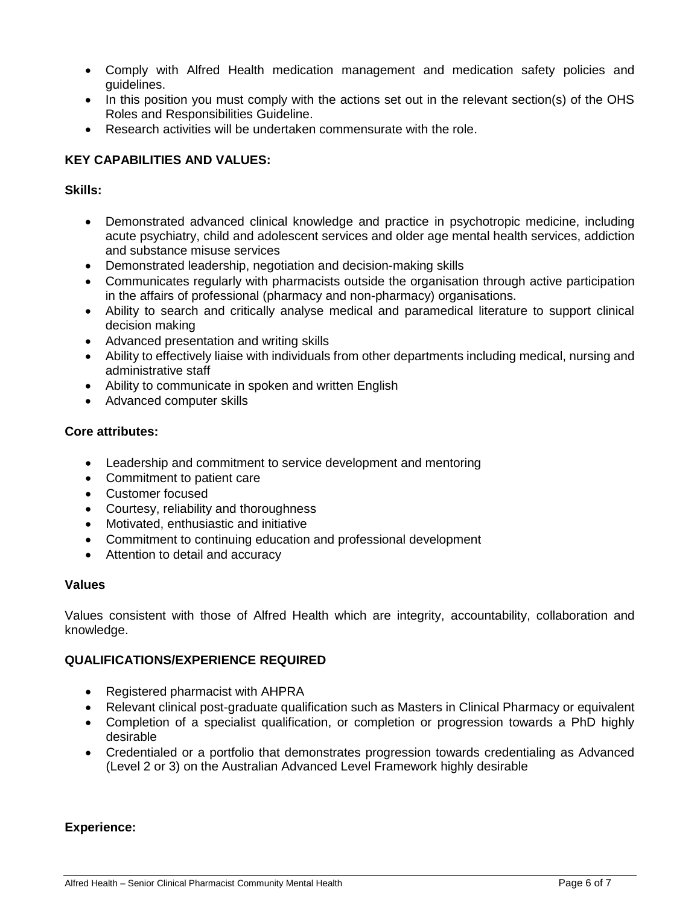- Comply with Alfred Health medication management and medication safety policies and guidelines.
- In this position you must comply with the actions set out in the relevant section(s) of the OHS Roles and Responsibilities Guideline.
- Research activities will be undertaken commensurate with the role.

## **KEY CAPABILITIES AND VALUES:**

## **Skills:**

- Demonstrated advanced clinical knowledge and practice in psychotropic medicine, including acute psychiatry, child and adolescent services and older age mental health services, addiction and substance misuse services
- Demonstrated leadership, negotiation and decision-making skills
- Communicates regularly with pharmacists outside the organisation through active participation in the affairs of professional (pharmacy and non-pharmacy) organisations.
- Ability to search and critically analyse medical and paramedical literature to support clinical decision making
- Advanced presentation and writing skills
- Ability to effectively liaise with individuals from other departments including medical, nursing and administrative staff
- Ability to communicate in spoken and written English
- Advanced computer skills

## **Core attributes:**

- Leadership and commitment to service development and mentoring
- Commitment to patient care
- Customer focused
- Courtesy, reliability and thoroughness
- Motivated, enthusiastic and initiative
- Commitment to continuing education and professional development
- Attention to detail and accuracy

## **Values**

Values consistent with those of Alfred Health which are integrity, accountability, collaboration and knowledge.

## **QUALIFICATIONS/EXPERIENCE REQUIRED**

- Registered pharmacist with AHPRA
- Relevant clinical post-graduate qualification such as Masters in Clinical Pharmacy or equivalent
- Completion of a specialist qualification, or completion or progression towards a PhD highly desirable
- Credentialed or a portfolio that demonstrates progression towards credentialing as Advanced (Level 2 or 3) on the Australian Advanced Level Framework highly desirable

## **Experience:**